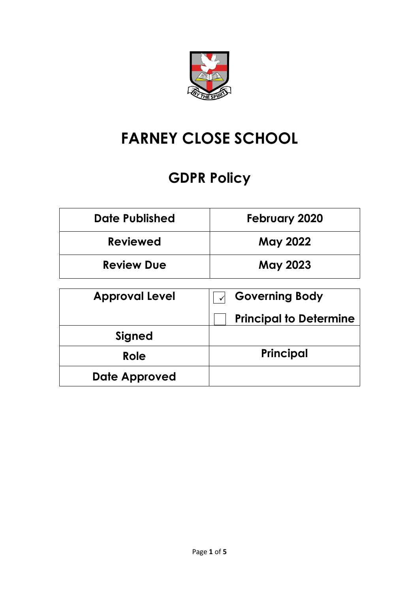

# **FARNEY CLOSE SCHOOL**

# **GDPR Policy**

| <b>Date Published</b> | <b>February 2020</b>          |
|-----------------------|-------------------------------|
| Reviewed              | <b>May 2022</b>               |
| <b>Review Due</b>     | <b>May 2023</b>               |
| <b>Approval Level</b> | <b>Governing Body</b>         |
|                       |                               |
|                       | <b>Principal to Determine</b> |
| <b>Signed</b>         |                               |
| Role                  | Principal                     |
| Date Approved         |                               |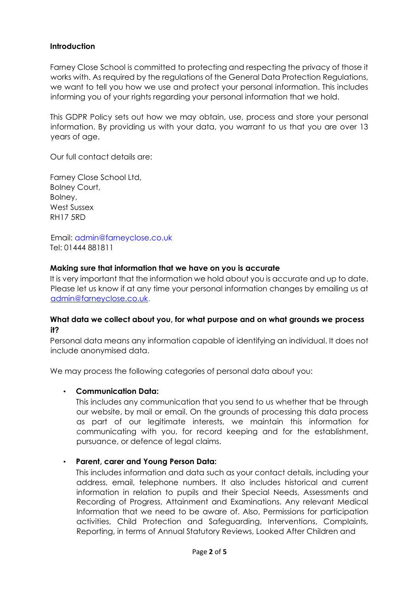# **Introduction**

Farney Close School is committed to protecting and respecting the privacy of those it works with. As required by the regulations of the General Data Protection Regulations, we want to tell you how we use and protect your personal information. This includes informing you of your rights regarding your personal information that we hold.

This GDPR Policy sets out how we may obtain, use, process and store your personal information. By providing us with your data, you warrant to us that you are over 13 years of age.

Our full contact details are:

Farney Close School Ltd, Bolney Court, Bolney, West Sussex RH17 5RD

Email: admin@farneyclose.co.uk Tel: 01444 881811

#### **Making sure that information that we have on you is accurate**

It is very important that the information we hold about you is accurate and up to date. Please let us know if at any time your personal information changes by emailing us at admin@farneyclose.co.uk.

## **What data we collect about you, for what purpose and on what grounds we process it?**

Personal data means any information capable of identifying an individual. It does not include anonymised data.

We may process the following categories of personal data about you:

#### • **Communication Data:**

This includes any communication that you send to us whether that be through our website, by mail or email. On the grounds of processing this data process as part of our legitimate interests, we maintain this information for communicating with you, for record keeping and for the establishment, pursuance, or defence of legal claims.

## • **Parent, carer and Young Person Data:**

This includes information and data such as your contact details, including your address, email, telephone numbers. It also includes historical and current information in relation to pupils and their Special Needs, Assessments and Recording of Progress, Attainment and Examinations. Any relevant Medical Information that we need to be aware of. Also, Permissions for participation activities, Child Protection and Safeguarding, Interventions, Complaints, Reporting, in terms of Annual Statutory Reviews, Looked After Children and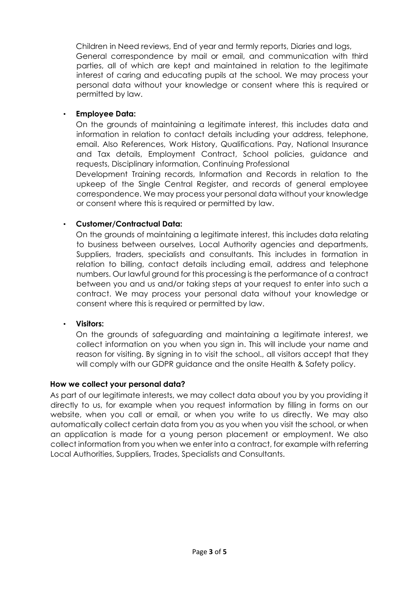Children in Need reviews, End of year and termly reports, Diaries and logs, General correspondence by mail or email, and communication with third parties, all of which are kept and maintained in relation to the legitimate interest of caring and educating pupils at the school. We may process your personal data without your knowledge or consent where this is required or permitted by law.

## • **Employee Data:**

On the grounds of maintaining a legitimate interest, this includes data and information in relation to contact details including your address, telephone, email. Also References, Work History, Qualifications. Pay, National Insurance and Tax details, Employment Contract, School policies, guidance and requests, Disciplinary information, Continuing Professional

Development Training records, Information and Records in relation to the upkeep of the Single Central Register, and records of general employee correspondence. We may process your personal data without your knowledge or consent where this is required or permitted by law.

## • **Customer/Contractual Data:**

On the grounds of maintaining a legitimate interest, this includes data relating to business between ourselves, Local Authority agencies and departments, Suppliers, traders, specialists and consultants. This includes in formation in relation to billing, contact details including email, address and telephone numbers. Our lawful ground for this processing is the performance of a contract between you and us and/or taking steps at your request to enter into such a contract. We may process your personal data without your knowledge or consent where this is required or permitted by law.

#### • **Visitors:**

On the grounds of safeguarding and maintaining a legitimate interest, we collect information on you when you sign in. This will include your name and reason for visiting. By signing in to visit the school., all visitors accept that they will comply with our GDPR guidance and the onsite Health & Safety policy.

#### **How we collect your personal data?**

As part of our legitimate interests, we may collect data about you by you providing it directly to us, for example when you request information by filling in forms on our website, when you call or email, or when you write to us directly. We may also automatically collect certain data from you as you when you visit the school, or when an application is made for a young person placement or employment. We also collect information from you when we enter into a contract, for example with referring Local Authorities, Suppliers, Trades, Specialists and Consultants.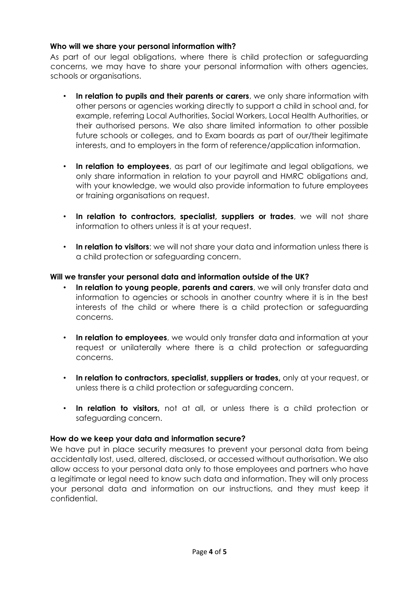# **Who will we share your personal information with?**

As part of our legal obligations, where there is child protection or safeguarding concerns, we may have to share your personal information with others agencies, schools or organisations.

- **In relation to pupils and their parents or carers**, we only share information with other persons or agencies working directly to support a child in school and, for example, referring Local Authorities, Social Workers, Local Health Authorities, or their authorised persons. We also share limited information to other possible future schools or colleges, and to Exam boards as part of our/their legitimate interests, and to employers in the form of reference/application information.
- **In relation to employees**, as part of our legitimate and legal obligations, we only share information in relation to your payroll and HMRC obligations and, with your knowledge, we would also provide information to future employees or training organisations on request.
- **In relation to contractors, specialist, suppliers or trades**, we will not share information to others unless it is at your request.
- **In relation to visitors**: we will not share your data and information unless there is a child protection or safeguarding concern.

## **Will we transfer your personal data and information outside of the UK?**

- **In relation to young people, parents and carers**, we will only transfer data and information to agencies or schools in another country where it is in the best interests of the child or where there is a child protection or safeguarding concerns.
- **In relation to employees**, we would only transfer data and information at your request or unilaterally where there is a child protection or safeguarding concerns.
- **In relation to contractors, specialist, suppliers or trades,** only at your request, or unless there is a child protection or safeguarding concern.
- **In relation to visitors,** not at all, or unless there is a child protection or safeguarding concern.

## **How do we keep your data and information secure?**

We have put in place security measures to prevent your personal data from being accidentally lost, used, altered, disclosed, or accessed without authorisation. We also allow access to your personal data only to those employees and partners who have a legitimate or legal need to know such data and information. They will only process your personal data and information on our instructions, and they must keep it confidential.